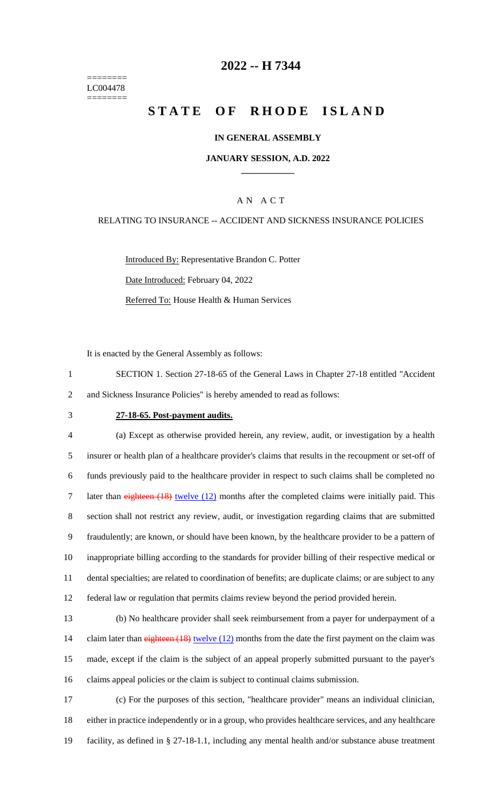======== LC004478 ========

## **2022 -- H 7344**

# **STATE OF RHODE ISLAND**

### **IN GENERAL ASSEMBLY**

#### **JANUARY SESSION, A.D. 2022 \_\_\_\_\_\_\_\_\_\_\_\_**

### A N A C T

#### RELATING TO INSURANCE -- ACCIDENT AND SICKNESS INSURANCE POLICIES

Introduced By: Representative Brandon C. Potter Date Introduced: February 04, 2022 Referred To: House Health & Human Services

It is enacted by the General Assembly as follows:

1 SECTION 1. Section 27-18-65 of the General Laws in Chapter 27-18 entitled "Accident 2 and Sickness Insurance Policies" is hereby amended to read as follows:

#### 3 **27-18-65. Post-payment audits.**

 (a) Except as otherwise provided herein, any review, audit, or investigation by a health insurer or health plan of a healthcare provider's claims that results in the recoupment or set-off of funds previously paid to the healthcare provider in respect to such claims shall be completed no 7 later than eighteen (18) twelve (12) months after the completed claims were initially paid. This section shall not restrict any review, audit, or investigation regarding claims that are submitted fraudulently; are known, or should have been known, by the healthcare provider to be a pattern of inappropriate billing according to the standards for provider billing of their respective medical or dental specialties; are related to coordination of benefits; are duplicate claims; or are subject to any federal law or regulation that permits claims review beyond the period provided herein.

 (b) No healthcare provider shall seek reimbursement from a payer for underpayment of a 14 claim later than eighteen (18) twelve (12) months from the date the first payment on the claim was made, except if the claim is the subject of an appeal properly submitted pursuant to the payer's claims appeal policies or the claim is subject to continual claims submission.

17 (c) For the purposes of this section, "healthcare provider" means an individual clinician, 18 either in practice independently or in a group, who provides healthcare services, and any healthcare 19 facility, as defined in § 27-18-1.1, including any mental health and/or substance abuse treatment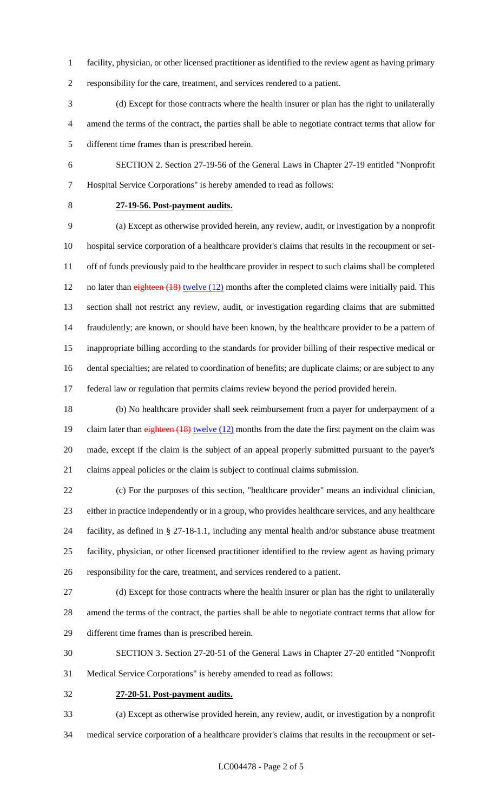- facility, physician, or other licensed practitioner as identified to the review agent as having primary
- responsibility for the care, treatment, and services rendered to a patient.
- (d) Except for those contracts where the health insurer or plan has the right to unilaterally amend the terms of the contract, the parties shall be able to negotiate contract terms that allow for different time frames than is prescribed herein.
- SECTION 2. Section 27-19-56 of the General Laws in Chapter 27-19 entitled "Nonprofit Hospital Service Corporations" is hereby amended to read as follows:
- 

## **27-19-56. Post-payment audits.**

 (a) Except as otherwise provided herein, any review, audit, or investigation by a nonprofit hospital service corporation of a healthcare provider's claims that results in the recoupment or set- off of funds previously paid to the healthcare provider in respect to such claims shall be completed 12 no later than eighteen (18) twelve (12) months after the completed claims were initially paid. This section shall not restrict any review, audit, or investigation regarding claims that are submitted fraudulently; are known, or should have been known, by the healthcare provider to be a pattern of inappropriate billing according to the standards for provider billing of their respective medical or dental specialties; are related to coordination of benefits; are duplicate claims; or are subject to any federal law or regulation that permits claims review beyond the period provided herein.

 (b) No healthcare provider shall seek reimbursement from a payer for underpayment of a 19 claim later than eighteen (18) twelve (12) months from the date the first payment on the claim was made, except if the claim is the subject of an appeal properly submitted pursuant to the payer's claims appeal policies or the claim is subject to continual claims submission.

 (c) For the purposes of this section, "healthcare provider" means an individual clinician, either in practice independently or in a group, who provides healthcare services, and any healthcare facility, as defined in § 27-18-1.1, including any mental health and/or substance abuse treatment facility, physician, or other licensed practitioner identified to the review agent as having primary responsibility for the care, treatment, and services rendered to a patient.

- (d) Except for those contracts where the health insurer or plan has the right to unilaterally amend the terms of the contract, the parties shall be able to negotiate contract terms that allow for different time frames than is prescribed herein.
- SECTION 3. Section 27-20-51 of the General Laws in Chapter 27-20 entitled "Nonprofit
- Medical Service Corporations" is hereby amended to read as follows:
- **27-20-51. Post-payment audits.**

 (a) Except as otherwise provided herein, any review, audit, or investigation by a nonprofit medical service corporation of a healthcare provider's claims that results in the recoupment or set-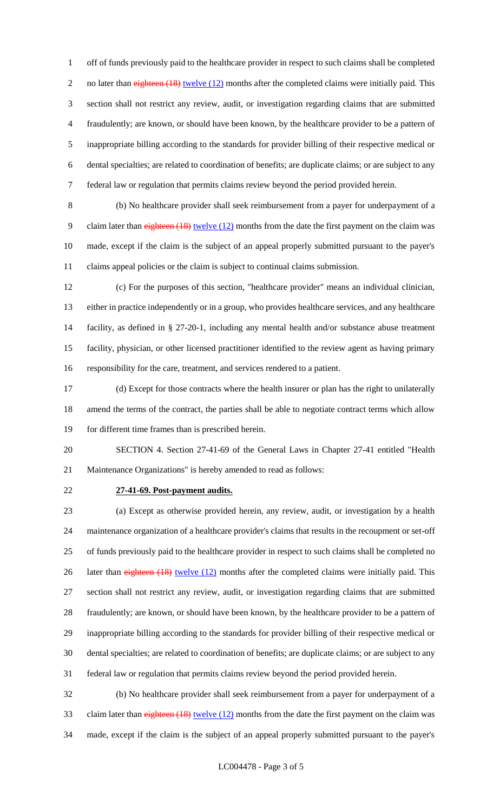off of funds previously paid to the healthcare provider in respect to such claims shall be completed 2 no later than eighteen (18) twelve (12) months after the completed claims were initially paid. This section shall not restrict any review, audit, or investigation regarding claims that are submitted fraudulently; are known, or should have been known, by the healthcare provider to be a pattern of inappropriate billing according to the standards for provider billing of their respective medical or dental specialties; are related to coordination of benefits; are duplicate claims; or are subject to any federal law or regulation that permits claims review beyond the period provided herein.

 (b) No healthcare provider shall seek reimbursement from a payer for underpayment of a 9 claim later than eighteen (18) twelve (12) months from the date the first payment on the claim was made, except if the claim is the subject of an appeal properly submitted pursuant to the payer's claims appeal policies or the claim is subject to continual claims submission.

 (c) For the purposes of this section, "healthcare provider" means an individual clinician, either in practice independently or in a group, who provides healthcare services, and any healthcare facility, as defined in § 27-20-1, including any mental health and/or substance abuse treatment facility, physician, or other licensed practitioner identified to the review agent as having primary responsibility for the care, treatment, and services rendered to a patient.

 (d) Except for those contracts where the health insurer or plan has the right to unilaterally amend the terms of the contract, the parties shall be able to negotiate contract terms which allow for different time frames than is prescribed herein.

- SECTION 4. Section 27-41-69 of the General Laws in Chapter 27-41 entitled "Health Maintenance Organizations" is hereby amended to read as follows:
- 

## **27-41-69. Post-payment audits.**

 (a) Except as otherwise provided herein, any review, audit, or investigation by a health maintenance organization of a healthcare provider's claims that results in the recoupment or set-off of funds previously paid to the healthcare provider in respect to such claims shall be completed no 26 later than eighteen (18) twelve (12) months after the completed claims were initially paid. This section shall not restrict any review, audit, or investigation regarding claims that are submitted fraudulently; are known, or should have been known, by the healthcare provider to be a pattern of inappropriate billing according to the standards for provider billing of their respective medical or dental specialties; are related to coordination of benefits; are duplicate claims; or are subject to any federal law or regulation that permits claims review beyond the period provided herein.

 (b) No healthcare provider shall seek reimbursement from a payer for underpayment of a 33 claim later than eighteen (18) twelve (12) months from the date the first payment on the claim was made, except if the claim is the subject of an appeal properly submitted pursuant to the payer's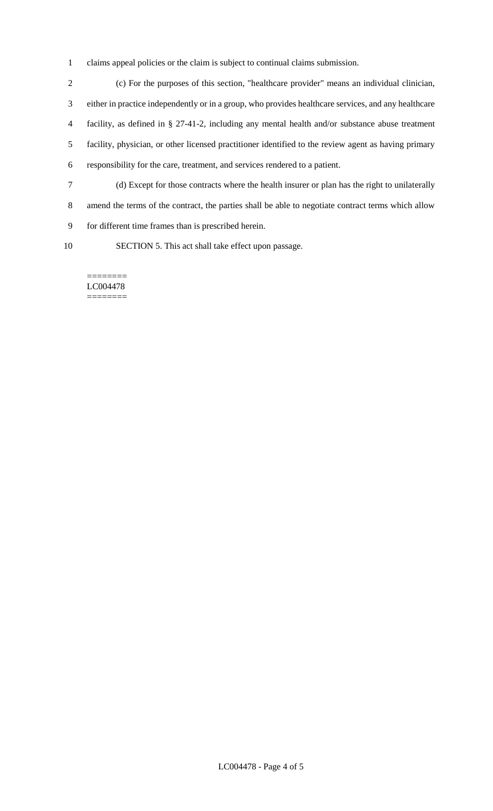claims appeal policies or the claim is subject to continual claims submission.

 (c) For the purposes of this section, "healthcare provider" means an individual clinician, either in practice independently or in a group, who provides healthcare services, and any healthcare facility, as defined in § 27-41-2, including any mental health and/or substance abuse treatment facility, physician, or other licensed practitioner identified to the review agent as having primary responsibility for the care, treatment, and services rendered to a patient. (d) Except for those contracts where the health insurer or plan has the right to unilaterally amend the terms of the contract, the parties shall be able to negotiate contract terms which allow

- for different time frames than is prescribed herein.
- 

SECTION 5. This act shall take effect upon passage.

#### ======== LC004478 ========